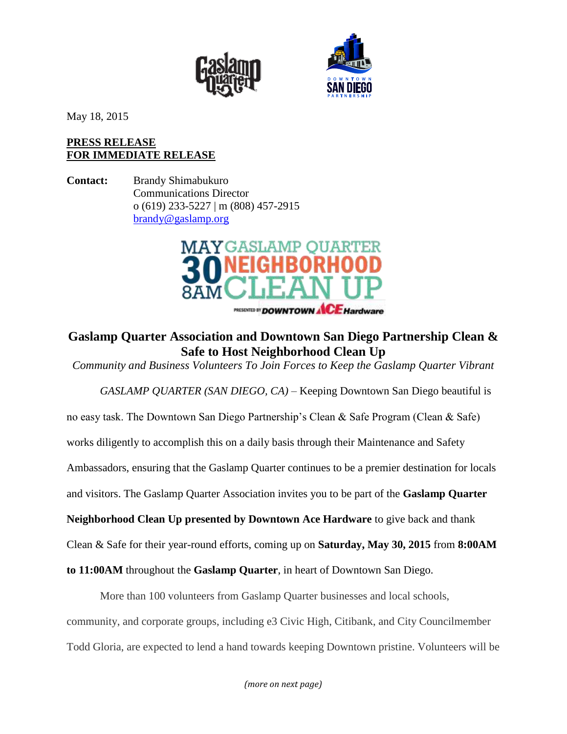



May 18, 2015

## **PRESS RELEASE FOR IMMEDIATE RELEASE**

**Contact:** Brandy Shimabukuro Communications Director o (619) 233-5227 | m (808) 457-2915 [brandy@gaslamp.org](mailto:brandy@gaslamp.org)



## **Gaslamp Quarter Association and Downtown San Diego Partnership Clean & Safe to Host Neighborhood Clean Up**

*Community and Business Volunteers To Join Forces to Keep the Gaslamp Quarter Vibrant*

*GASLAMP QUARTER (SAN DIEGO, CA)* – Keeping Downtown San Diego beautiful is no easy task. The Downtown San Diego Partnership's Clean & Safe Program (Clean & Safe) works diligently to accomplish this on a daily basis through their Maintenance and Safety Ambassadors, ensuring that the Gaslamp Quarter continues to be a premier destination for locals and visitors. The Gaslamp Quarter Association invites you to be part of the **Gaslamp Quarter Neighborhood Clean Up presented by Downtown Ace Hardware** to give back and thank Clean & Safe for their year-round efforts, coming up on **Saturday, May 30, 2015** from **8:00AM** 

More than 100 volunteers from Gaslamp Quarter businesses and local schools, community, and corporate groups, including e3 Civic High, Citibank, and City Councilmember Todd Gloria, are expected to lend a hand towards keeping Downtown pristine. Volunteers will be

**to 11:00AM** throughout the **Gaslamp Quarter**, in heart of Downtown San Diego.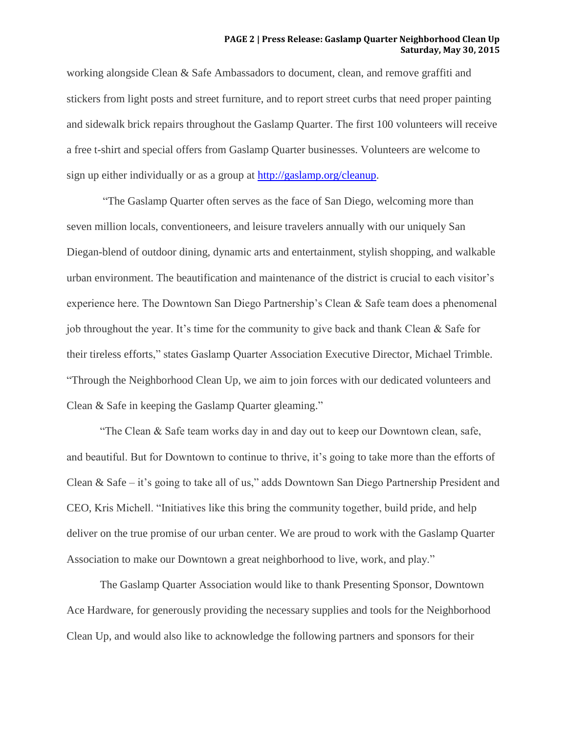## **PAGE 2 | Press Release: Gaslamp Quarter Neighborhood Clean Up Saturday, May 30, 2015**

working alongside Clean & Safe Ambassadors to document, clean, and remove graffiti and stickers from light posts and street furniture, and to report street curbs that need proper painting and sidewalk brick repairs throughout the Gaslamp Quarter. The first 100 volunteers will receive a free t-shirt and special offers from Gaslamp Quarter businesses. Volunteers are welcome to sign up either individually or as a group at [http://gaslamp.org/cleanup.](http://gaslamp.org/cleanup)

"The Gaslamp Quarter often serves as the face of San Diego, welcoming more than seven million locals, conventioneers, and leisure travelers annually with our uniquely San Diegan-blend of outdoor dining, dynamic arts and entertainment, stylish shopping, and walkable urban environment. The beautification and maintenance of the district is crucial to each visitor's experience here. The Downtown San Diego Partnership's Clean & Safe team does a phenomenal job throughout the year. It's time for the community to give back and thank Clean & Safe for their tireless efforts," states Gaslamp Quarter Association Executive Director, Michael Trimble. "Through the Neighborhood Clean Up, we aim to join forces with our dedicated volunteers and Clean & Safe in keeping the Gaslamp Quarter gleaming."

"The Clean & Safe team works day in and day out to keep our Downtown clean, safe, and beautiful. But for Downtown to continue to thrive, it's going to take more than the efforts of Clean & Safe – it's going to take all of us," adds Downtown San Diego Partnership President and CEO, Kris Michell. "Initiatives like this bring the community together, build pride, and help deliver on the true promise of our urban center. We are proud to work with the Gaslamp Quarter Association to make our Downtown a great neighborhood to live, work, and play."

The Gaslamp Quarter Association would like to thank Presenting Sponsor, Downtown Ace Hardware, for generously providing the necessary supplies and tools for the Neighborhood Clean Up, and would also like to acknowledge the following partners and sponsors for their